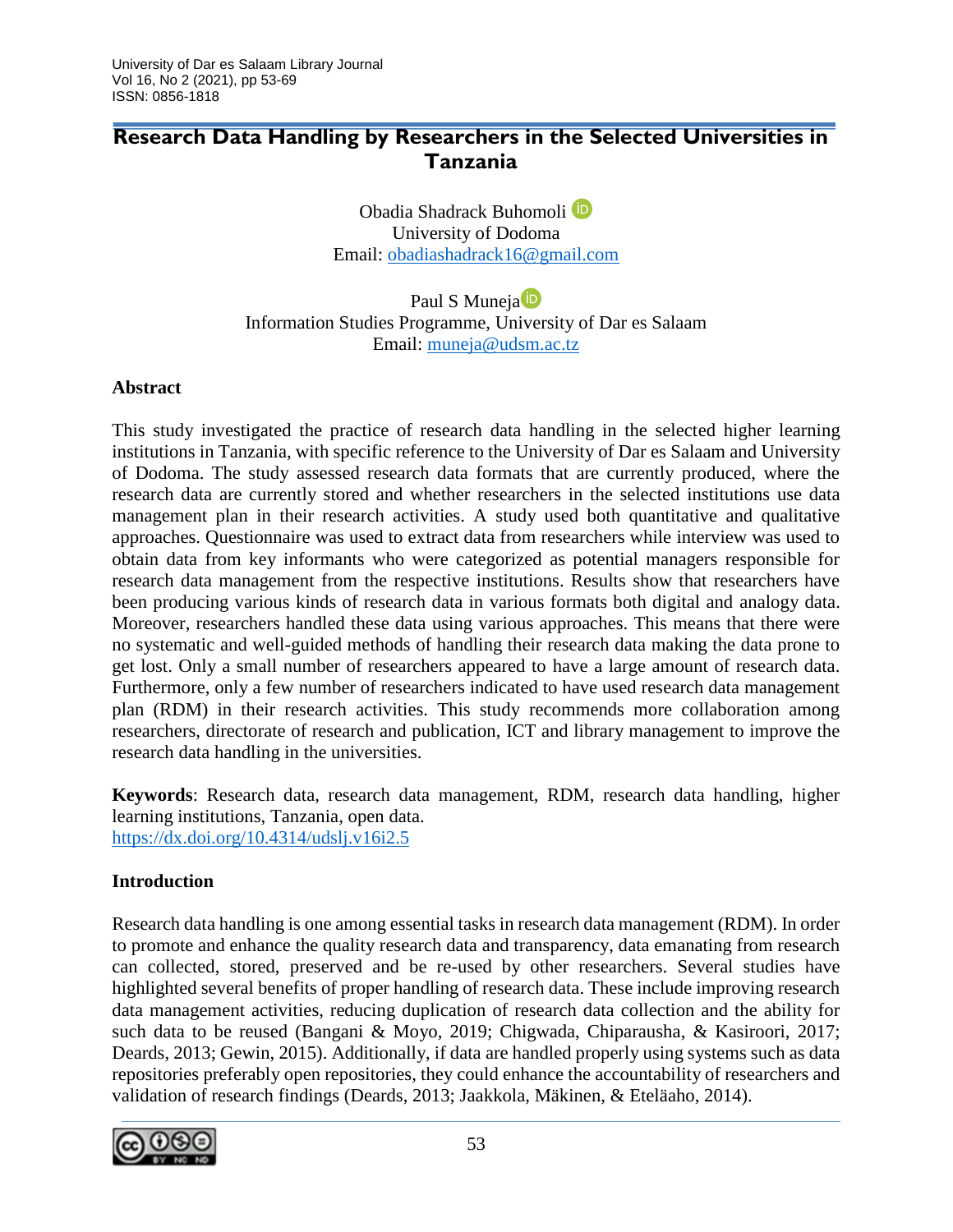# **Research Data Handling by Researchers in the Selected Universities in Tanzania**

Obadia Shadrack Buhomoli<sup>D</sup> University of Dodoma Email: [obadiashadrack16@gmail.com](mailto:obadiashadrack16@gmail.com)

Paul S Muneja<sup>D</sup> Information Studies Programme, University of Dar es Salaam Email: [muneja@udsm.ac.tz](mailto:muneja@udsm.ac.tz)

### **Abstract**

This study investigated the practice of research data handling in the selected higher learning institutions in Tanzania, with specific reference to the University of Dar es Salaam and University of Dodoma. The study assessed research data formats that are currently produced, where the research data are currently stored and whether researchers in the selected institutions use data management plan in their research activities. A study used both quantitative and qualitative approaches. Questionnaire was used to extract data from researchers while interview was used to obtain data from key informants who were categorized as potential managers responsible for research data management from the respective institutions. Results show that researchers have been producing various kinds of research data in various formats both digital and analogy data. Moreover, researchers handled these data using various approaches. This means that there were no systematic and well-guided methods of handling their research data making the data prone to get lost. Only a small number of researchers appeared to have a large amount of research data. Furthermore, only a few number of researchers indicated to have used research data management plan (RDM) in their research activities. This study recommends more collaboration among researchers, directorate of research and publication, ICT and library management to improve the research data handling in the universities.

**Keywords**: Research data, research data management, RDM, research data handling, higher learning institutions, Tanzania, open data. <https://dx.doi.org/10.4314/udslj.v16i2.5>

### **Introduction**

Research data handling is one among essential tasks in research data management (RDM). In order to promote and enhance the quality research data and transparency, data emanating from research can collected, stored, preserved and be re-used by other researchers. Several studies have highlighted several benefits of proper handling of research data. These include improving research data management activities, reducing duplication of research data collection and the ability for such data to be reused (Bangani & Moyo, 2019; Chigwada, Chiparausha, & Kasiroori, 2017; Deards, 2013; Gewin, 2015). Additionally, if data are handled properly using systems such as data repositories preferably open repositories, they could enhance the accountability of researchers and validation of research findings (Deards, 2013; Jaakkola, Mäkinen, & Eteläaho, 2014).

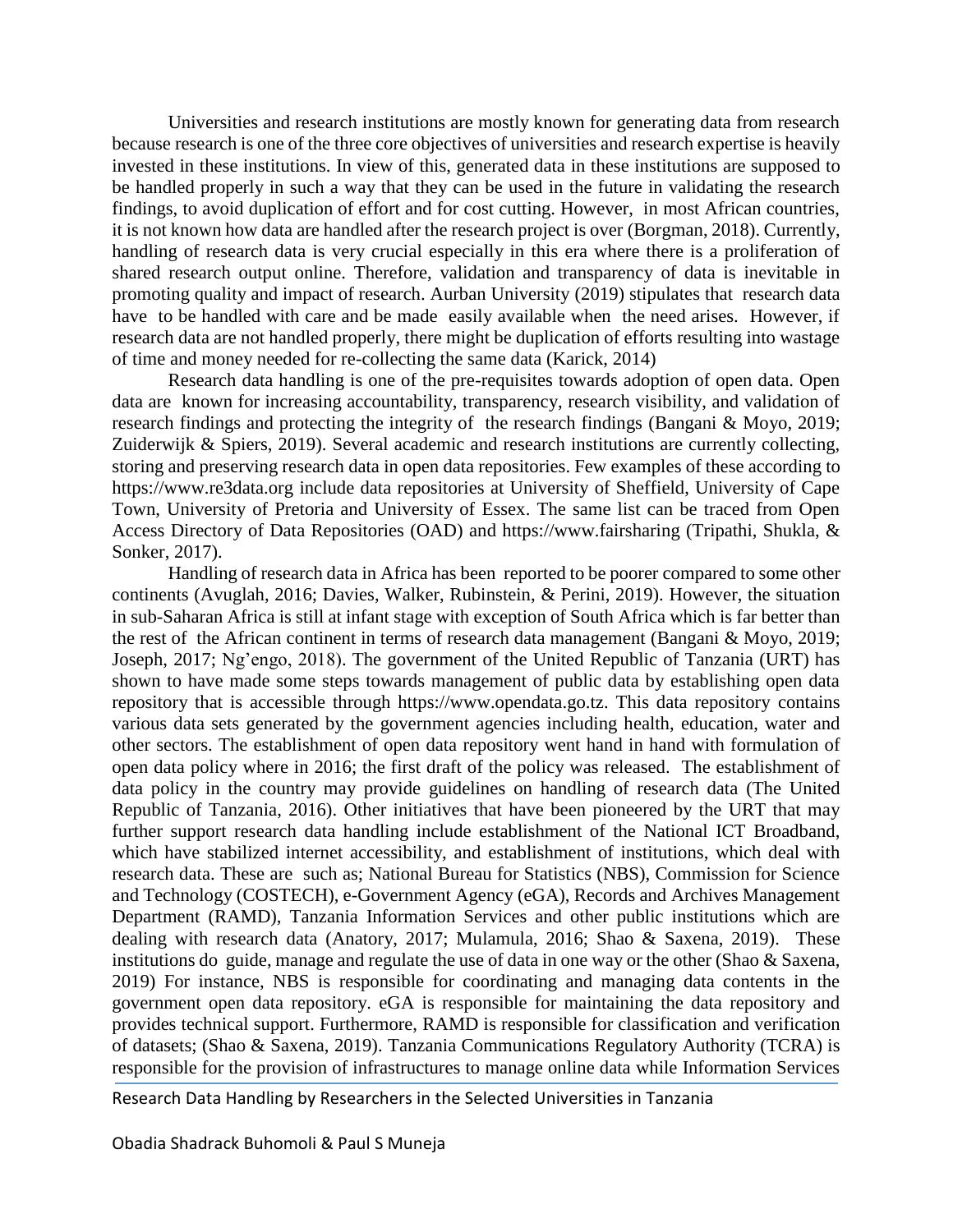Universities and research institutions are mostly known for generating data from research because research is one of the three core objectives of universities and research expertise is heavily invested in these institutions. In view of this, generated data in these institutions are supposed to be handled properly in such a way that they can be used in the future in validating the research findings, to avoid duplication of effort and for cost cutting. However, in most African countries, it is not known how data are handled after the research project is over (Borgman, 2018). Currently, handling of research data is very crucial especially in this era where there is a proliferation of shared research output online. Therefore, validation and transparency of data is inevitable in promoting quality and impact of research. Aurban University (2019) stipulates that research data have to be handled with care and be made easily available when the need arises. However, if research data are not handled properly, there might be duplication of efforts resulting into wastage of time and money needed for re-collecting the same data (Karick, 2014)

Research data handling is one of the pre-requisites towards adoption of open data. Open data are known for increasing accountability, transparency, research visibility, and validation of research findings and protecting the integrity of the research findings (Bangani & Moyo, 2019; Zuiderwijk & Spiers, 2019). Several academic and research institutions are currently collecting, storing and preserving research data in open data repositories. Few examples of these according to https://www.re3data.org include data repositories at University of Sheffield, University of Cape Town, University of Pretoria and University of Essex. The same list can be traced from Open Access Directory of Data Repositories (OAD) and https://www.fairsharing (Tripathi, Shukla, & Sonker, 2017).

Handling of research data in Africa has been reported to be poorer compared to some other continents (Avuglah, 2016; Davies, Walker, Rubinstein, & Perini, 2019). However, the situation in sub-Saharan Africa is still at infant stage with exception of South Africa which is far better than the rest of the African continent in terms of research data management (Bangani & Moyo, 2019; Joseph, 2017; Ng'engo, 2018). The government of the United Republic of Tanzania (URT) has shown to have made some steps towards management of public data by establishing open data repository that is accessible through https://www.opendata.go.tz. This data repository contains various data sets generated by the government agencies including health, education, water and other sectors. The establishment of open data repository went hand in hand with formulation of open data policy where in 2016; the first draft of the policy was released. The establishment of data policy in the country may provide guidelines on handling of research data (The United Republic of Tanzania, 2016). Other initiatives that have been pioneered by the URT that may further support research data handling include establishment of the National ICT Broadband, which have stabilized internet accessibility, and establishment of institutions, which deal with research data. These are such as; National Bureau for Statistics (NBS), Commission for Science and Technology (COSTECH), e-Government Agency (eGA), Records and Archives Management Department (RAMD), Tanzania Information Services and other public institutions which are dealing with research data (Anatory, 2017; Mulamula, 2016; Shao & Saxena, 2019). These institutions do guide, manage and regulate the use of data in one way or the other (Shao & Saxena, 2019) For instance, NBS is responsible for coordinating and managing data contents in the government open data repository. eGA is responsible for maintaining the data repository and provides technical support. Furthermore, RAMD is responsible for classification and verification of datasets; (Shao & Saxena, 2019). Tanzania Communications Regulatory Authority (TCRA) is responsible for the provision of infrastructures to manage online data while Information Services

Research Data Handling by Researchers in the Selected Universities in Tanzania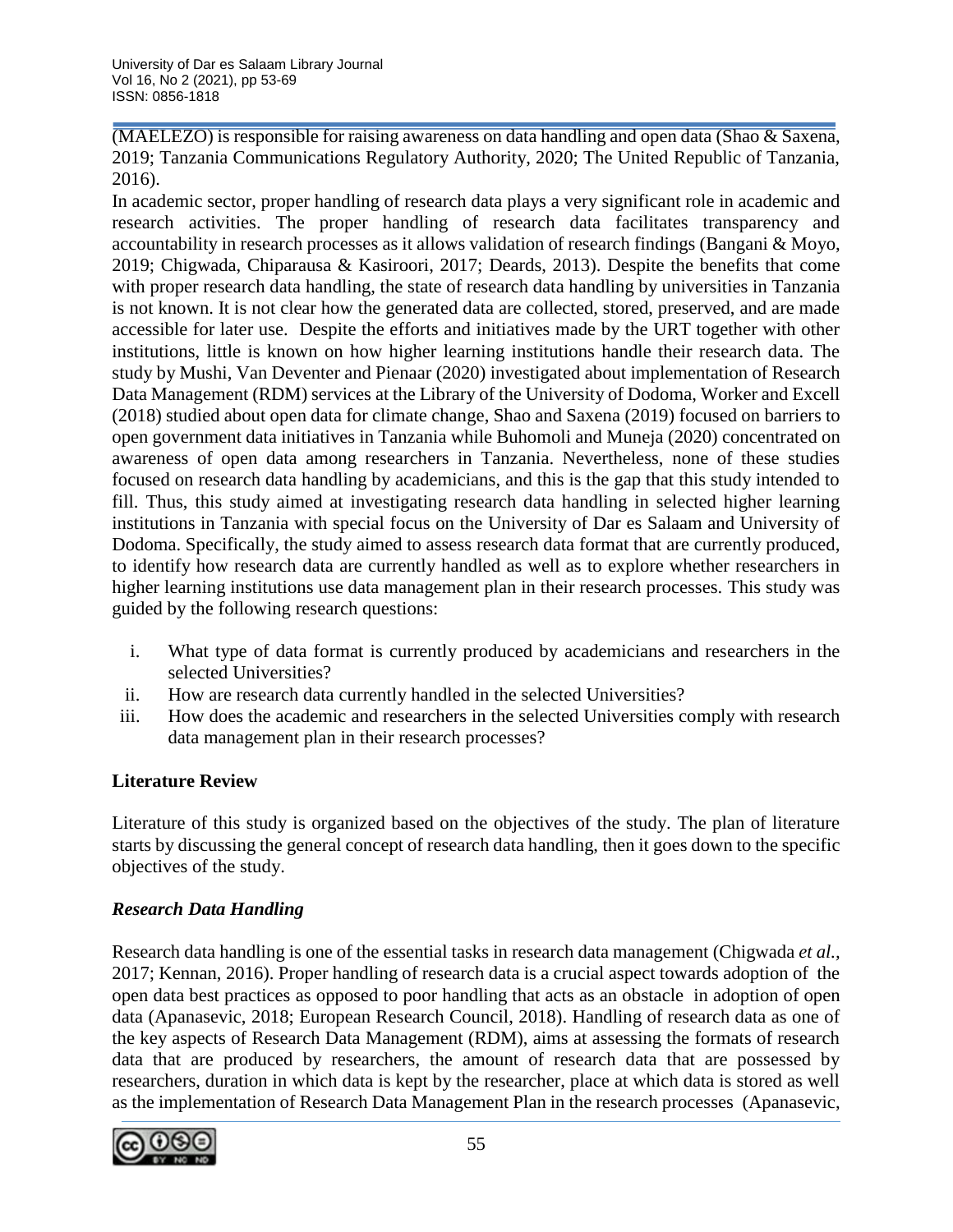(MAELEZO) is responsible for raising awareness on data handling and open data (Shao & Saxena, 2019; Tanzania Communications Regulatory Authority, 2020; The United Republic of Tanzania, 2016).

In academic sector, proper handling of research data plays a very significant role in academic and research activities. The proper handling of research data facilitates transparency and accountability in research processes as it allows validation of research findings (Bangani & Moyo, 2019; Chigwada, Chiparausa & Kasiroori, 2017; Deards, 2013). Despite the benefits that come with proper research data handling, the state of research data handling by universities in Tanzania is not known. It is not clear how the generated data are collected, stored, preserved, and are made accessible for later use. Despite the efforts and initiatives made by the URT together with other institutions, little is known on how higher learning institutions handle their research data. The study by Mushi, Van Deventer and Pienaar (2020) investigated about implementation of Research Data Management (RDM) services at the Library of the University of Dodoma, Worker and Excell (2018) studied about open data for climate change, Shao and Saxena (2019) focused on barriers to open government data initiatives in Tanzania while Buhomoli and Muneja (2020) concentrated on awareness of open data among researchers in Tanzania. Nevertheless, none of these studies focused on research data handling by academicians, and this is the gap that this study intended to fill. Thus, this study aimed at investigating research data handling in selected higher learning institutions in Tanzania with special focus on the University of Dar es Salaam and University of Dodoma. Specifically, the study aimed to assess research data format that are currently produced, to identify how research data are currently handled as well as to explore whether researchers in higher learning institutions use data management plan in their research processes. This study was guided by the following research questions:

- i. What type of data format is currently produced by academicians and researchers in the selected Universities?
- ii. How are research data currently handled in the selected Universities?
- iii. How does the academic and researchers in the selected Universities comply with research data management plan in their research processes?

# **Literature Review**

Literature of this study is organized based on the objectives of the study. The plan of literature starts by discussing the general concept of research data handling, then it goes down to the specific objectives of the study.

# *Research Data Handling*

Research data handling is one of the essential tasks in research data management (Chigwada *et al.,* 2017; Kennan, 2016). Proper handling of research data is a crucial aspect towards adoption of the open data best practices as opposed to poor handling that acts as an obstacle in adoption of open data (Apanasevic, 2018; European Research Council, 2018). Handling of research data as one of the key aspects of Research Data Management (RDM), aims at assessing the formats of research data that are produced by researchers, the amount of research data that are possessed by researchers, duration in which data is kept by the researcher, place at which data is stored as well as the implementation of Research Data Management Plan in the research processes (Apanasevic,

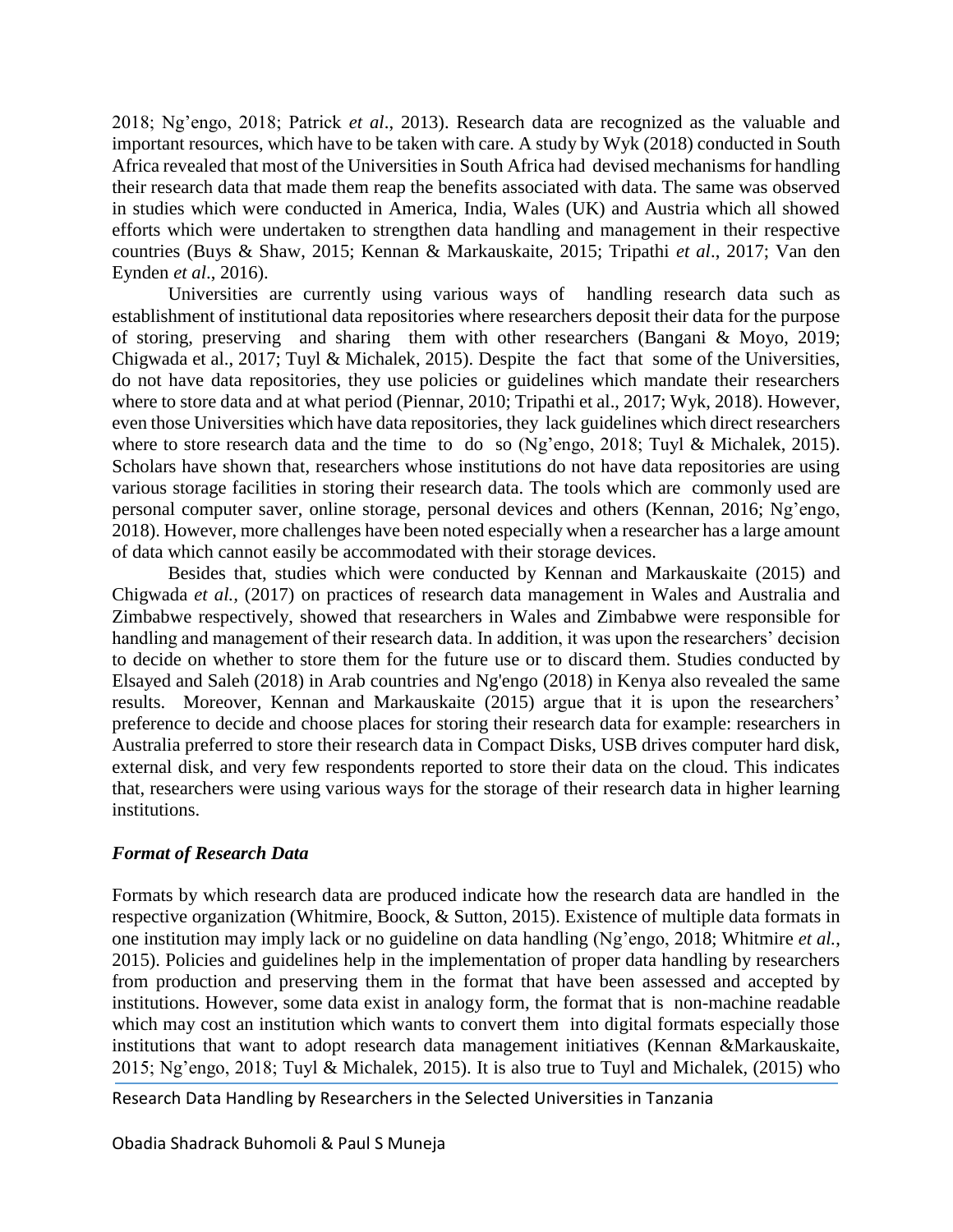2018; Ng'engo, 2018; Patrick *et al*., 2013). Research data are recognized as the valuable and important resources, which have to be taken with care. A study by Wyk (2018) conducted in South Africa revealed that most of the Universities in South Africa had devised mechanisms for handling their research data that made them reap the benefits associated with data. The same was observed in studies which were conducted in America, India, Wales (UK) and Austria which all showed efforts which were undertaken to strengthen data handling and management in their respective countries (Buys & Shaw, 2015; Kennan & Markauskaite, 2015; Tripathi *et al*., 2017; Van den Eynden *et al*., 2016).

Universities are currently using various ways of handling research data such as establishment of institutional data repositories where researchers deposit their data for the purpose of storing, preserving and sharing them with other researchers (Bangani & Moyo, 2019; Chigwada et al., 2017; Tuyl & Michalek, 2015). Despite the fact that some of the Universities, do not have data repositories, they use policies or guidelines which mandate their researchers where to store data and at what period (Piennar, 2010; Tripathi et al., 2017; Wyk, 2018). However, even those Universities which have data repositories, they lack guidelines which direct researchers where to store research data and the time to do so (Ng'engo, 2018; Tuyl & Michalek, 2015). Scholars have shown that, researchers whose institutions do not have data repositories are using various storage facilities in storing their research data. The tools which are commonly used are personal computer saver, online storage, personal devices and others (Kennan, 2016; Ng'engo, 2018). However, more challenges have been noted especially when a researcher has a large amount of data which cannot easily be accommodated with their storage devices.

Besides that, studies which were conducted by Kennan and Markauskaite (2015) and Chigwada *et al.,* (2017) on practices of research data management in Wales and Australia and Zimbabwe respectively, showed that researchers in Wales and Zimbabwe were responsible for handling and management of their research data. In addition, it was upon the researchers' decision to decide on whether to store them for the future use or to discard them. Studies conducted by Elsayed and Saleh (2018) in Arab countries and Ng'engo (2018) in Kenya also revealed the same results. Moreover, Kennan and Markauskaite (2015) argue that it is upon the researchers' preference to decide and choose places for storing their research data for example: researchers in Australia preferred to store their research data in Compact Disks, USB drives computer hard disk, external disk, and very few respondents reported to store their data on the cloud. This indicates that, researchers were using various ways for the storage of their research data in higher learning institutions.

#### *Format of Research Data*

Formats by which research data are produced indicate how the research data are handled in the respective organization (Whitmire, Boock, & Sutton, 2015). Existence of multiple data formats in one institution may imply lack or no guideline on data handling (Ng'engo, 2018; Whitmire *et al.*, 2015). Policies and guidelines help in the implementation of proper data handling by researchers from production and preserving them in the format that have been assessed and accepted by institutions. However, some data exist in analogy form, the format that is non-machine readable which may cost an institution which wants to convert them into digital formats especially those institutions that want to adopt research data management initiatives (Kennan &Markauskaite, 2015; Ng'engo, 2018; Tuyl & Michalek, 2015). It is also true to Tuyl and Michalek, (2015) who

Research Data Handling by Researchers in the Selected Universities in Tanzania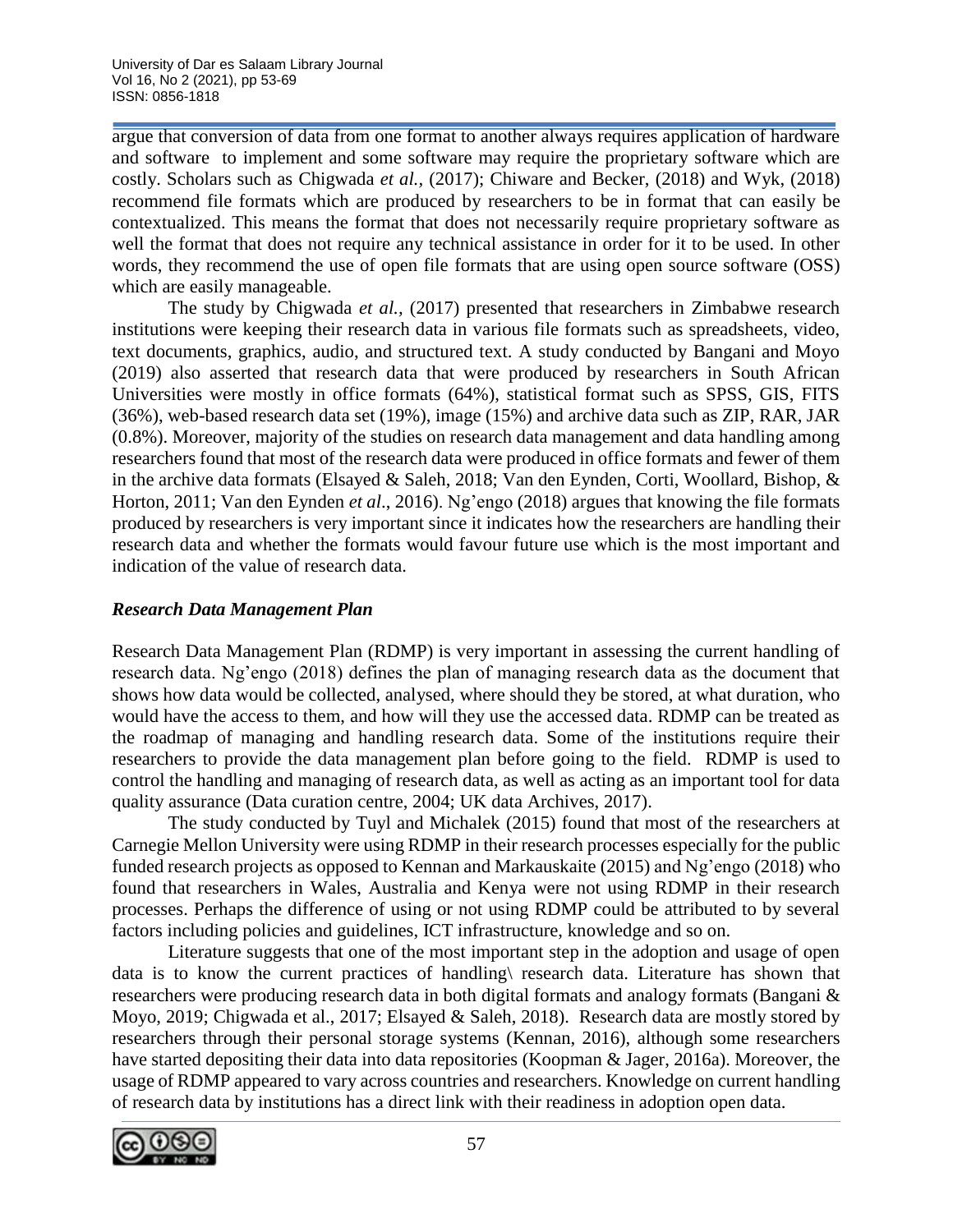argue that conversion of data from one format to another always requires application of hardware and software to implement and some software may require the proprietary software which are costly. Scholars such as Chigwada *et al.,* (2017); Chiware and Becker, (2018) and Wyk, (2018) recommend file formats which are produced by researchers to be in format that can easily be contextualized. This means the format that does not necessarily require proprietary software as well the format that does not require any technical assistance in order for it to be used. In other words, they recommend the use of open file formats that are using open source software (OSS) which are easily manageable.

The study by Chigwada *et al.,* (2017) presented that researchers in Zimbabwe research institutions were keeping their research data in various file formats such as spreadsheets, video, text documents, graphics, audio, and structured text. A study conducted by Bangani and Moyo (2019) also asserted that research data that were produced by researchers in South African Universities were mostly in office formats (64%), statistical format such as SPSS, GIS, FITS (36%), web-based research data set (19%), image (15%) and archive data such as ZIP, RAR, JAR (0.8%). Moreover, majority of the studies on research data management and data handling among researchers found that most of the research data were produced in office formats and fewer of them in the archive data formats (Elsayed & Saleh, 2018; Van den Eynden, Corti, Woollard, Bishop, & Horton, 2011; Van den Eynden *et al*., 2016). Ng'engo (2018) argues that knowing the file formats produced by researchers is very important since it indicates how the researchers are handling their research data and whether the formats would favour future use which is the most important and indication of the value of research data.

### *Research Data Management Plan*

Research Data Management Plan (RDMP) is very important in assessing the current handling of research data. Ng'engo (2018) defines the plan of managing research data as the document that shows how data would be collected, analysed, where should they be stored, at what duration, who would have the access to them, and how will they use the accessed data. RDMP can be treated as the roadmap of managing and handling research data. Some of the institutions require their researchers to provide the data management plan before going to the field. RDMP is used to control the handling and managing of research data, as well as acting as an important tool for data quality assurance (Data curation centre, 2004; UK data Archives, 2017).

The study conducted by Tuyl and Michalek (2015) found that most of the researchers at Carnegie Mellon University were using RDMP in their research processes especially for the public funded research projects as opposed to Kennan and Markauskaite (2015) and Ng'engo (2018) who found that researchers in Wales, Australia and Kenya were not using RDMP in their research processes. Perhaps the difference of using or not using RDMP could be attributed to by several factors including policies and guidelines, ICT infrastructure, knowledge and so on.

Literature suggests that one of the most important step in the adoption and usage of open data is to know the current practices of handling\ research data. Literature has shown that researchers were producing research data in both digital formats and analogy formats (Bangani & Moyo, 2019; Chigwada et al., 2017; Elsayed & Saleh, 2018). Research data are mostly stored by researchers through their personal storage systems (Kennan, 2016), although some researchers have started depositing their data into data repositories (Koopman & Jager, 2016a). Moreover, the usage of RDMP appeared to vary across countries and researchers. Knowledge on current handling of research data by institutions has a direct link with their readiness in adoption open data.

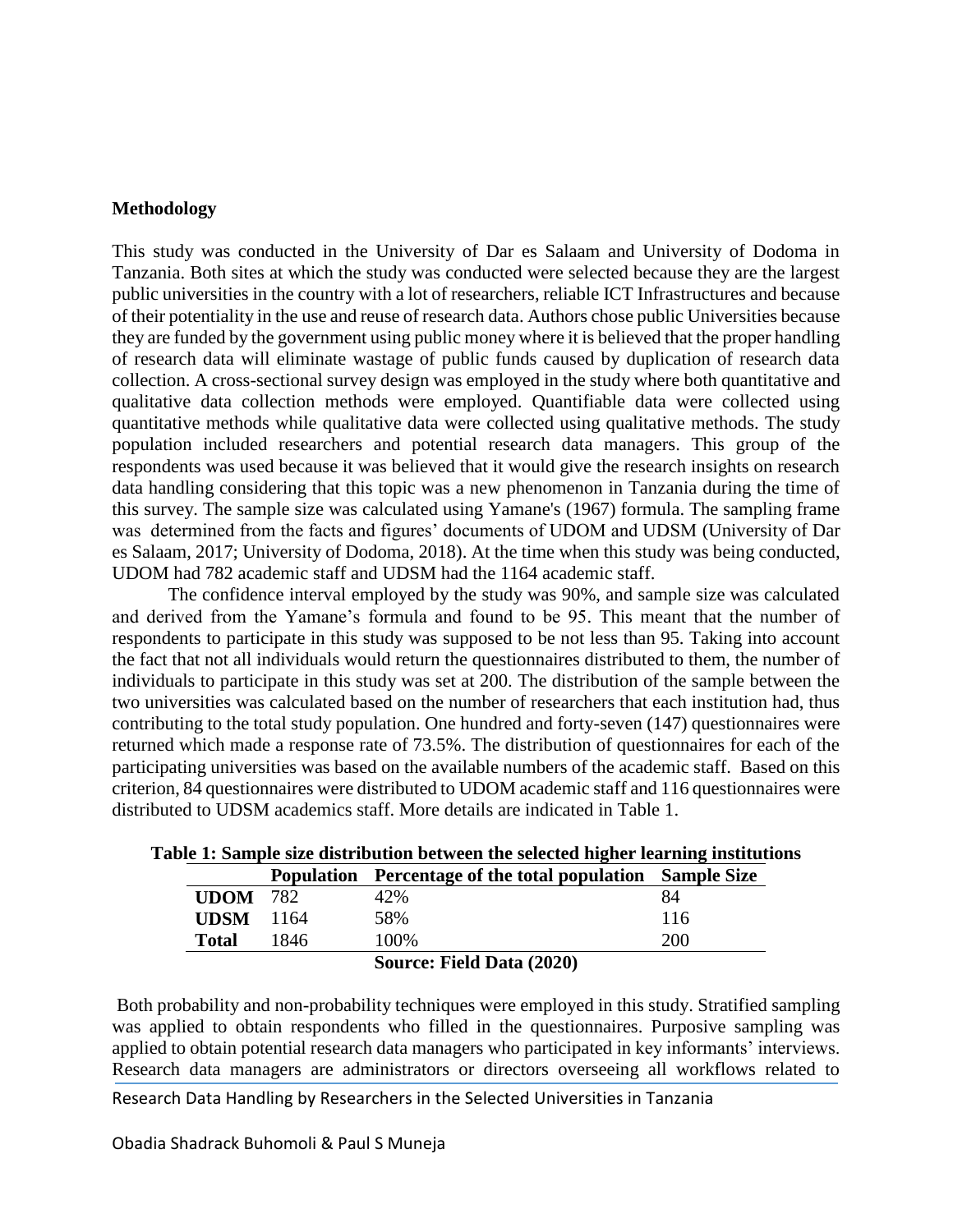#### **Methodology**

This study was conducted in the University of Dar es Salaam and University of Dodoma in Tanzania. Both sites at which the study was conducted were selected because they are the largest public universities in the country with a lot of researchers, reliable ICT Infrastructures and because of their potentiality in the use and reuse of research data. Authors chose public Universities because they are funded by the government using public money where it is believed that the proper handling of research data will eliminate wastage of public funds caused by duplication of research data collection. A cross-sectional survey design was employed in the study where both quantitative and qualitative data collection methods were employed. Quantifiable data were collected using quantitative methods while qualitative data were collected using qualitative methods. The study population included researchers and potential research data managers. This group of the respondents was used because it was believed that it would give the research insights on research data handling considering that this topic was a new phenomenon in Tanzania during the time of this survey. The sample size was calculated using Yamane's (1967) formula. The sampling frame was determined from the facts and figures' documents of UDOM and UDSM (University of Dar es Salaam, 2017; University of Dodoma, 2018). At the time when this study was being conducted, UDOM had 782 academic staff and UDSM had the 1164 academic staff.

The confidence interval employed by the study was 90%, and sample size was calculated and derived from the Yamane's formula and found to be 95. This meant that the number of respondents to participate in this study was supposed to be not less than 95. Taking into account the fact that not all individuals would return the questionnaires distributed to them, the number of individuals to participate in this study was set at 200. The distribution of the sample between the two universities was calculated based on the number of researchers that each institution had, thus contributing to the total study population. One hundred and forty-seven (147) questionnaires were returned which made a response rate of 73.5%. The distribution of questionnaires for each of the participating universities was based on the available numbers of the academic staff. Based on this criterion, 84 questionnaires were distributed to UDOM academic staff and 116 questionnaires were distributed to UDSM academics staff. More details are indicated in Table 1.

|                 |      | <b>Population</b> Percentage of the total population Sample Size |            |
|-----------------|------|------------------------------------------------------------------|------------|
| <b>UDOM</b> 782 |      | 42%                                                              | 84         |
| <b>UDSM</b>     | 1164 | 58%                                                              | 116        |
| Total           | 1846 | 100\%                                                            | <b>200</b> |
|                 |      | Source: Field Data (2020)                                        |            |

**Table 1: Sample size distribution between the selected higher learning institutions**

Both probability and non-probability techniques were employed in this study. Stratified sampling was applied to obtain respondents who filled in the questionnaires. Purposive sampling was applied to obtain potential research data managers who participated in key informants' interviews. Research data managers are administrators or directors overseeing all workflows related to

Research Data Handling by Researchers in the Selected Universities in Tanzania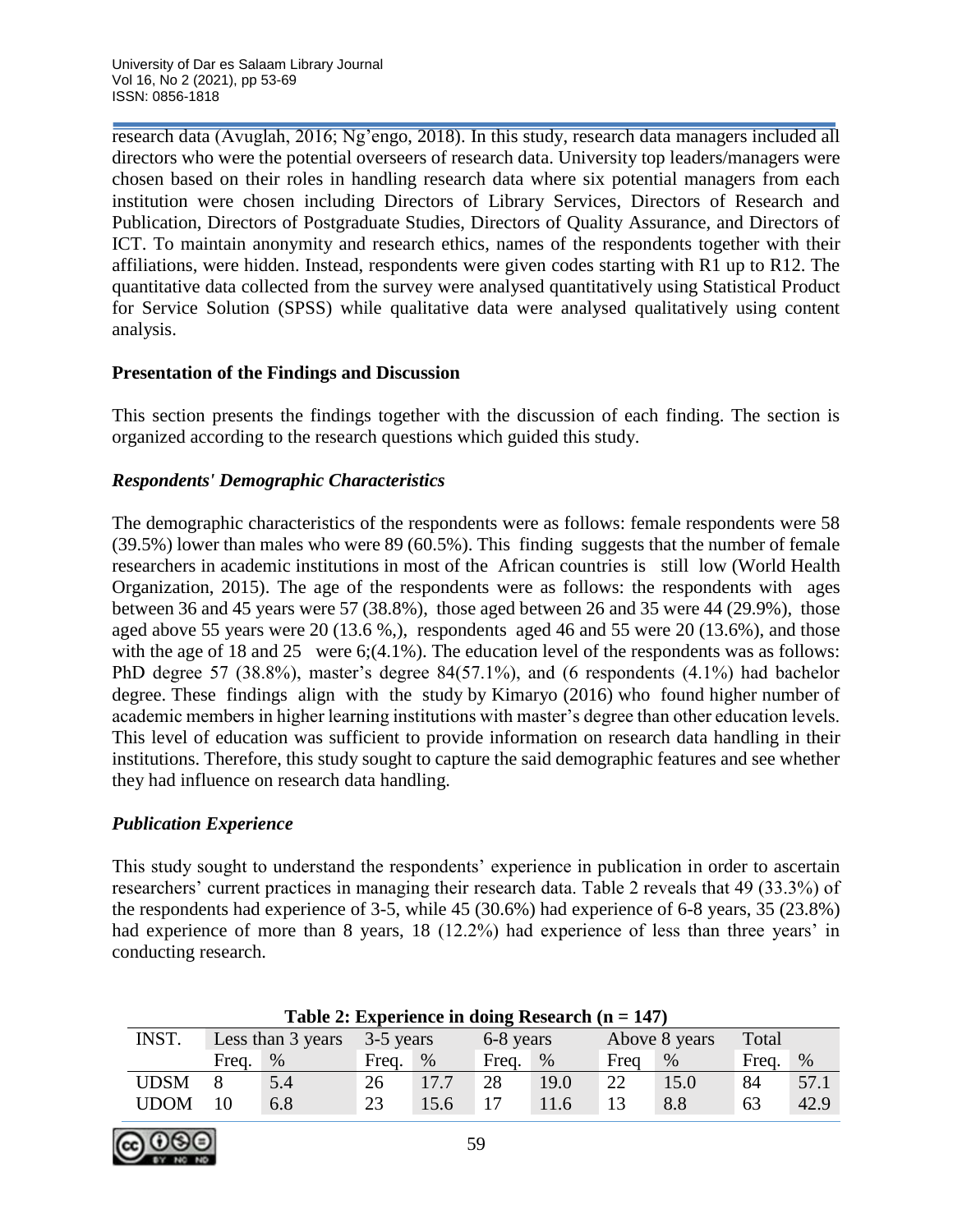research data (Avuglah, 2016; Ng'engo, 2018). In this study, research data managers included all directors who were the potential overseers of research data. University top leaders/managers were chosen based on their roles in handling research data where six potential managers from each institution were chosen including Directors of Library Services, Directors of Research and Publication, Directors of Postgraduate Studies, Directors of Quality Assurance, and Directors of ICT. To maintain anonymity and research ethics, names of the respondents together with their affiliations, were hidden. Instead, respondents were given codes starting with R1 up to R12. The quantitative data collected from the survey were analysed quantitatively using Statistical Product for Service Solution (SPSS) while qualitative data were analysed qualitatively using content analysis.

### **Presentation of the Findings and Discussion**

This section presents the findings together with the discussion of each finding. The section is organized according to the research questions which guided this study.

# *Respondents' Demographic Characteristics*

The demographic characteristics of the respondents were as follows: female respondents were 58 (39.5%) lower than males who were 89 (60.5%). This finding suggests that the number of female researchers in academic institutions in most of the African countries is still low (World Health Organization, 2015). The age of the respondents were as follows: the respondents with ages between 36 and 45 years were 57 (38.8%), those aged between 26 and 35 were 44 (29.9%), those aged above 55 years were 20 (13.6 %,), respondents aged 46 and 55 were 20 (13.6%), and those with the age of 18 and 25 were 6;(4.1%). The education level of the respondents was as follows: PhD degree 57 (38.8%), master's degree 84(57.1%), and (6 respondents (4.1%) had bachelor degree. These findings align with the study by Kimaryo (2016) who found higher number of academic members in higher learning institutions with master's degree than other education levels. This level of education was sufficient to provide information on research data handling in their institutions. Therefore, this study sought to capture the said demographic features and see whether they had influence on research data handling.

# *Publication Experience*

This study sought to understand the respondents' experience in publication in order to ascertain researchers' current practices in managing their research data. Table 2 reveals that 49 (33.3%) of the respondents had experience of 3-5, while 45 (30.6%) had experience of 6-8 years, 35 (23.8%) had experience of more than 8 years, 18 (12.2%) had experience of less than three years' in conducting research.

| Table 2: Experience in doing Research $(II = I + I)$ |       |                   |           |      |           |      |      |               |       |      |
|------------------------------------------------------|-------|-------------------|-----------|------|-----------|------|------|---------------|-------|------|
| INST.                                                |       | Less than 3 years | 3-5 years |      | 6-8 years |      |      | Above 8 years | Total |      |
|                                                      | Freq. | $\%$              | Freq.     | %    | Freq.     | %    | Freq | $\%$          | Freq. | $\%$ |
| <b>UDSM</b>                                          |       | 5.4               | 26        | 17.7 | 28        | 19.0 | 22   | 15.0          | 84    | 57.1 |
| <b>UDOM</b>                                          | 10    | 6.8               | 23        | 15.6 | 17        | 11.6 | 13   | 8.8           | 63    | 42.9 |

**Table 2: Experience in doing Research (n = 147)**

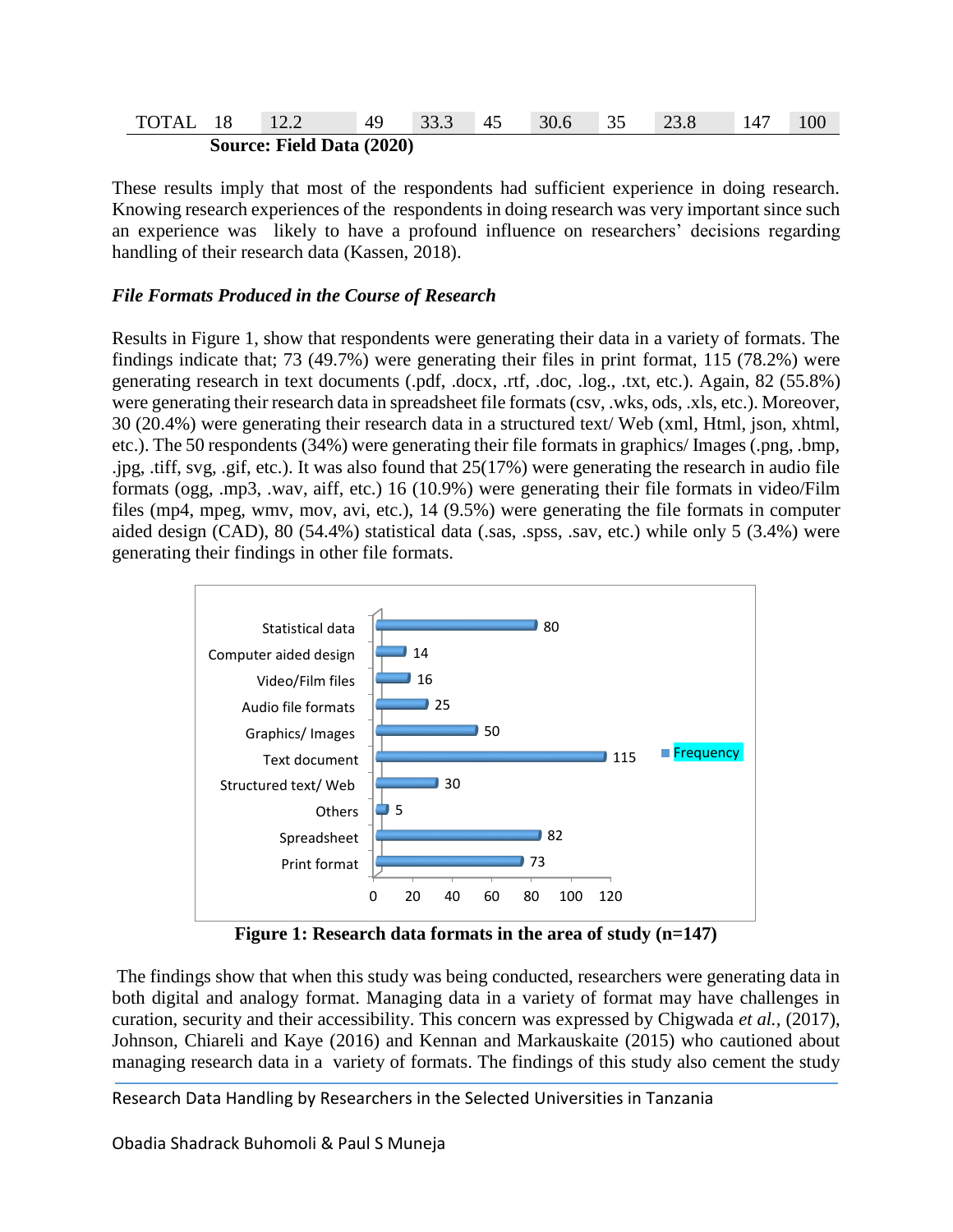| TOTAL 18 | 12.2                             | $\sqrt{49}$ 33.3 45 | 30.6 35 |  | 147 | 100 |
|----------|----------------------------------|---------------------|---------|--|-----|-----|
|          | <b>Source: Field Data (2020)</b> |                     |         |  |     |     |

These results imply that most of the respondents had sufficient experience in doing research. Knowing research experiences of the respondents in doing research was very important since such an experience was likely to have a profound influence on researchers' decisions regarding handling of their research data (Kassen, 2018).

#### *File Formats Produced in the Course of Research*

Results in Figure 1, show that respondents were generating their data in a variety of formats. The findings indicate that; 73 (49.7%) were generating their files in print format, 115 (78.2%) were generating research in text documents (.pdf, .docx, .rtf, .doc, .log., .txt, etc.). Again, 82 (55.8%) were generating their research data in spreadsheet file formats (csv, .wks, ods, .xls, etc.). Moreover, 30 (20.4%) were generating their research data in a structured text/ Web (xml, Html, json, xhtml, etc.). The 50 respondents (34%) were generating their file formats in graphics/ Images (.png, .bmp, .jpg, .tiff, svg, .gif, etc.). It was also found that 25(17%) were generating the research in audio file formats (ogg, .mp3, .wav, aiff, etc.) 16 (10.9%) were generating their file formats in video/Film files (mp4, mpeg, wmv, mov, avi, etc.), 14 (9.5%) were generating the file formats in computer aided design (CAD), 80 (54.4%) statistical data (.sas, .spss, .sav, etc.) while only 5 (3.4%) were generating their findings in other file formats.



**Figure 1: Research data formats in the area of study (n=147)**

The findings show that when this study was being conducted, researchers were generating data in both digital and analogy format. Managing data in a variety of format may have challenges in curation, security and their accessibility. This concern was expressed by Chigwada *et al.,* (2017), Johnson, Chiareli and Kaye (2016) and Kennan and Markauskaite (2015) who cautioned about managing research data in a variety of formats. The findings of this study also cement the study

Research Data Handling by Researchers in the Selected Universities in Tanzania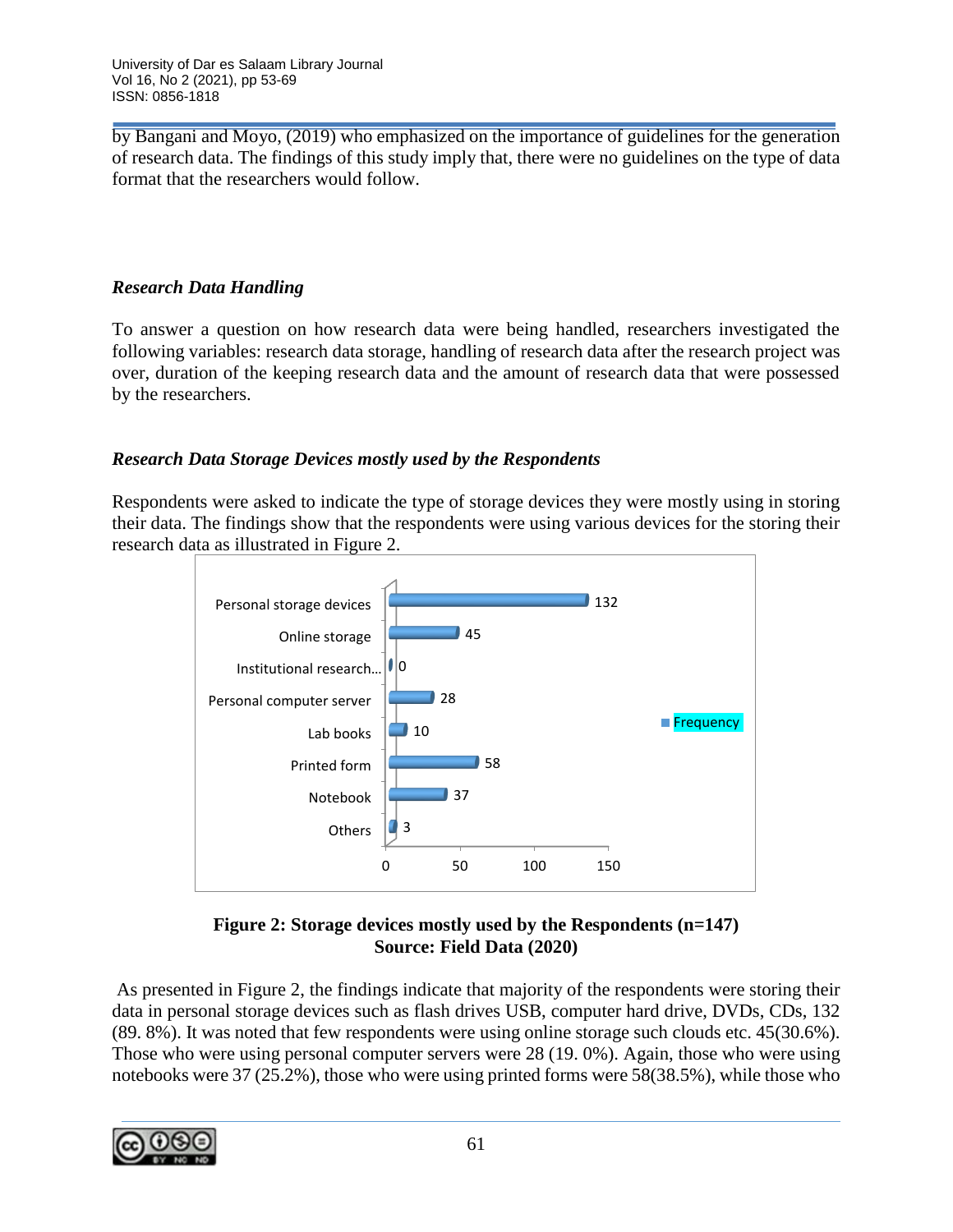by Bangani and Moyo, (2019) who emphasized on the importance of guidelines for the generation of research data. The findings of this study imply that, there were no guidelines on the type of data format that the researchers would follow.

### *Research Data Handling*

To answer a question on how research data were being handled, researchers investigated the following variables: research data storage, handling of research data after the research project was over, duration of the keeping research data and the amount of research data that were possessed by the researchers.

### *Research Data Storage Devices mostly used by the Respondents*

Respondents were asked to indicate the type of storage devices they were mostly using in storing their data. The findings show that the respondents were using various devices for the storing their research data as illustrated in Figure 2.



### **Figure 2: Storage devices mostly used by the Respondents (n=147) Source: Field Data (2020)**

As presented in Figure 2, the findings indicate that majority of the respondents were storing their data in personal storage devices such as flash drives USB, computer hard drive, DVDs, CDs, 132 (89. 8%). It was noted that few respondents were using online storage such clouds etc. 45(30.6%). Those who were using personal computer servers were 28 (19. 0%). Again, those who were using notebooks were 37 (25.2%), those who were using printed forms were 58(38.5%), while those who

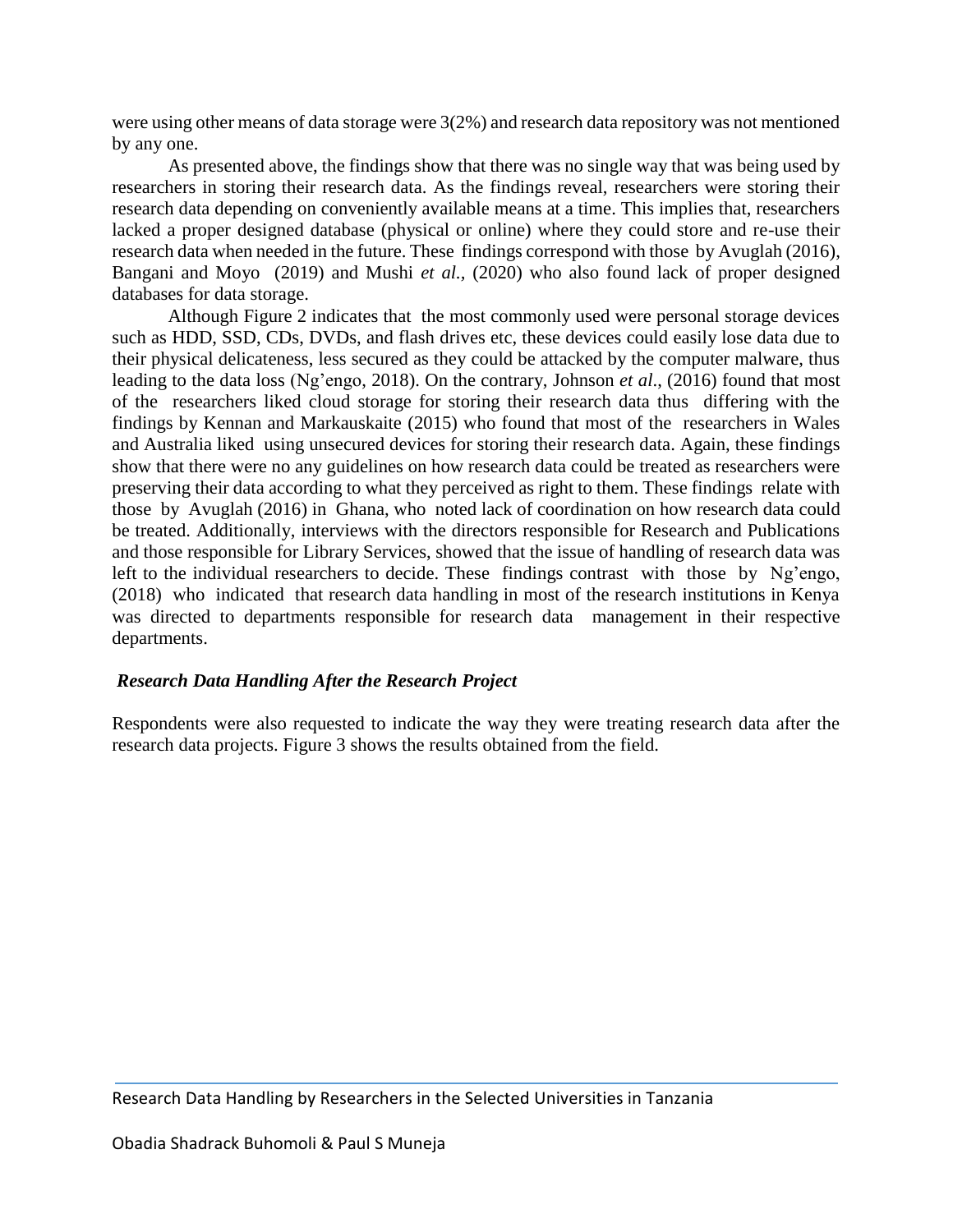were using other means of data storage were 3(2%) and research data repository was not mentioned by any one.

As presented above, the findings show that there was no single way that was being used by researchers in storing their research data. As the findings reveal, researchers were storing their research data depending on conveniently available means at a time. This implies that, researchers lacked a proper designed database (physical or online) where they could store and re-use their research data when needed in the future. These findings correspond with those by Avuglah (2016), Bangani and Moyo (2019) and Mushi *et al.,* (2020) who also found lack of proper designed databases for data storage.

Although Figure 2 indicates that the most commonly used were personal storage devices such as HDD, SSD, CDs, DVDs, and flash drives etc, these devices could easily lose data due to their physical delicateness, less secured as they could be attacked by the computer malware, thus leading to the data loss (Ng'engo, 2018). On the contrary, Johnson *et al*., (2016) found that most of the researchers liked cloud storage for storing their research data thus differing with the findings by Kennan and Markauskaite (2015) who found that most of the researchers in Wales and Australia liked using unsecured devices for storing their research data. Again, these findings show that there were no any guidelines on how research data could be treated as researchers were preserving their data according to what they perceived as right to them. These findings relate with those by Avuglah (2016) in Ghana, who noted lack of coordination on how research data could be treated. Additionally, interviews with the directors responsible for Research and Publications and those responsible for Library Services, showed that the issue of handling of research data was left to the individual researchers to decide. These findings contrast with those by Ng'engo, (2018) who indicated that research data handling in most of the research institutions in Kenya was directed to departments responsible for research data management in their respective departments.

### *Research Data Handling After the Research Project*

Respondents were also requested to indicate the way they were treating research data after the research data projects. Figure 3 shows the results obtained from the field.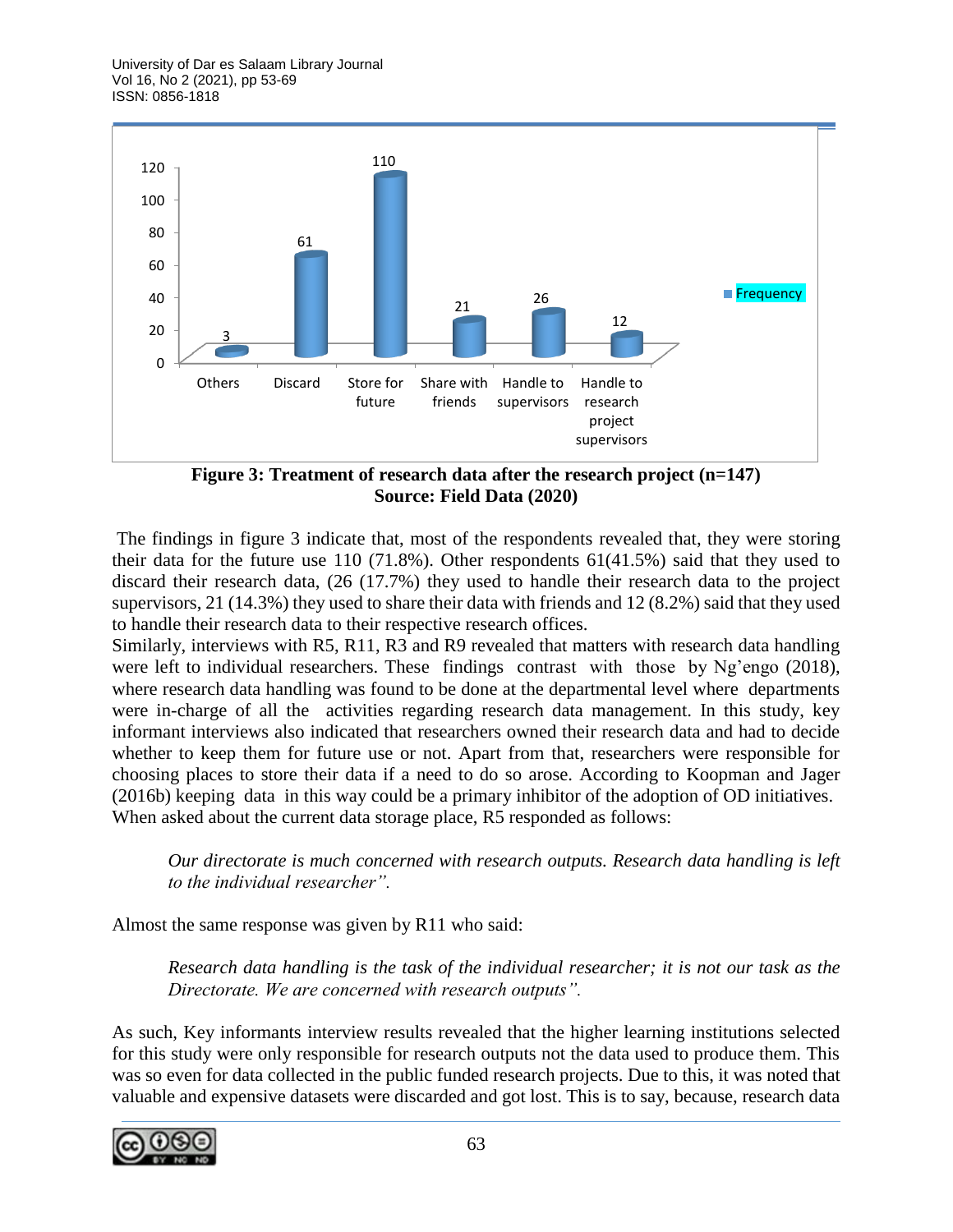University of Dar es Salaam Library Journal Vol 16, No 2 (2021), pp 53-69 ISSN: 0856-1818



**Figure 3: Treatment of research data after the research project (n=147) Source: Field Data (2020)**

The findings in figure 3 indicate that, most of the respondents revealed that, they were storing their data for the future use 110 (71.8%). Other respondents 61(41.5%) said that they used to discard their research data, (26 (17.7%) they used to handle their research data to the project supervisors, 21 (14.3%) they used to share their data with friends and 12 (8.2%) said that they used to handle their research data to their respective research offices.

Similarly, interviews with R5, R11, R3 and R9 revealed that matters with research data handling were left to individual researchers. These findings contrast with those by Ng'engo (2018), where research data handling was found to be done at the departmental level where departments were in-charge of all the activities regarding research data management. In this study, key informant interviews also indicated that researchers owned their research data and had to decide whether to keep them for future use or not. Apart from that, researchers were responsible for choosing places to store their data if a need to do so arose. According to Koopman and Jager (2016b) keeping data in this way could be a primary inhibitor of the adoption of OD initiatives. When asked about the current data storage place, R5 responded as follows:

*Our directorate is much concerned with research outputs. Research data handling is left to the individual researcher".*

Almost the same response was given by R11 who said:

*Research data handling is the task of the individual researcher; it is not our task as the Directorate. We are concerned with research outputs".*

As such, Key informants interview results revealed that the higher learning institutions selected for this study were only responsible for research outputs not the data used to produce them. This was so even for data collected in the public funded research projects. Due to this, it was noted that valuable and expensive datasets were discarded and got lost. This is to say, because, research data

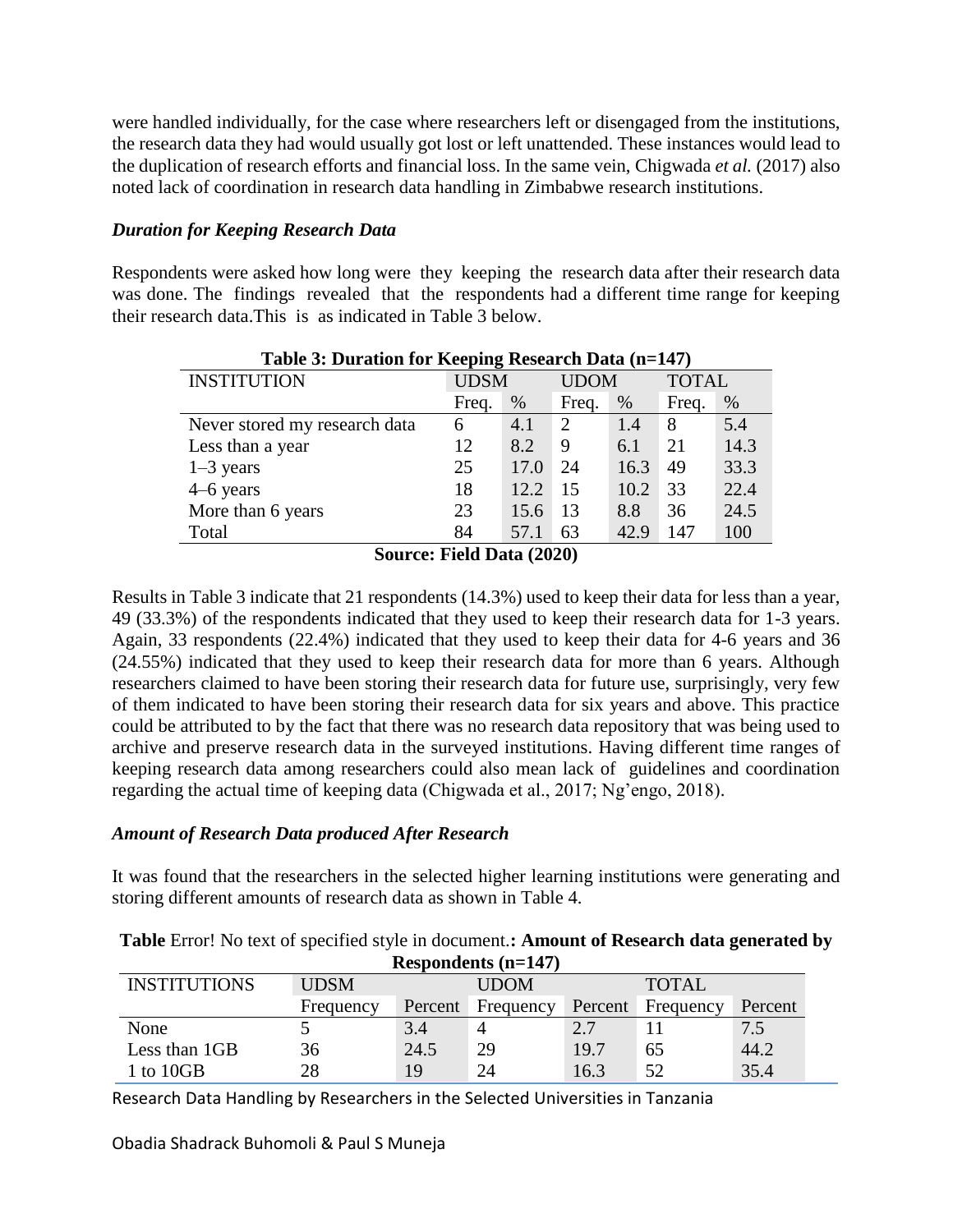were handled individually, for the case where researchers left or disengaged from the institutions, the research data they had would usually got lost or left unattended. These instances would lead to the duplication of research efforts and financial loss. In the same vein, Chigwada *et al.* (2017) also noted lack of coordination in research data handling in Zimbabwe research institutions.

### *Duration for Keeping Research Data*

Respondents were asked how long were they keeping the research data after their research data was done. The findings revealed that the respondents had a different time range for keeping their research data.This is as indicated in Table 3 below.

| Table 5: Duration for Reeping Research Data (n=147) |             |      |             |      |              |      |  |  |
|-----------------------------------------------------|-------------|------|-------------|------|--------------|------|--|--|
| <b>INSTITUTION</b>                                  | <b>UDSM</b> |      | <b>UDOM</b> |      | <b>TOTAL</b> |      |  |  |
|                                                     | Freq.       | $\%$ | Freq.       | $\%$ | Freq.        | %    |  |  |
| Never stored my research data                       | 6           | 4.1  | 2           | 1.4  | 8            | 5.4  |  |  |
| Less than a year                                    | 12          | 8.2  | 9           | 6.1  | 21           | 14.3 |  |  |
| $1-3$ years                                         | 25          | 17.0 | 24          | 16.3 | 49           | 33.3 |  |  |
| $4-6$ years                                         | 18          | 12.2 | 15          | 10.2 | 33           | 22.4 |  |  |
| More than 6 years                                   | 23          | 15.6 | 13          | 8.8  | 36           | 24.5 |  |  |
| Total                                               | 84          | 57.1 | 63          | 42.9 | 147          | 100  |  |  |

**Table 3: Duration for Keeping Research Data (n=147)**

**Source: Field Data (2020)**

Results in Table 3 indicate that 21 respondents (14.3%) used to keep their data for less than a year, 49 (33.3%) of the respondents indicated that they used to keep their research data for 1-3 years. Again, 33 respondents (22.4%) indicated that they used to keep their data for 4-6 years and 36 (24.55%) indicated that they used to keep their research data for more than 6 years. Although researchers claimed to have been storing their research data for future use, surprisingly, very few of them indicated to have been storing their research data for six years and above. This practice could be attributed to by the fact that there was no research data repository that was being used to archive and preserve research data in the surveyed institutions. Having different time ranges of keeping research data among researchers could also mean lack of guidelines and coordination regarding the actual time of keeping data (Chigwada et al., 2017; Ng'engo, 2018).

### *Amount of Research Data produced After Research*

It was found that the researchers in the selected higher learning institutions were generating and storing different amounts of research data as shown in Table 4.

| Respondents $(n=147)$ |             |         |             |         |              |         |  |  |  |
|-----------------------|-------------|---------|-------------|---------|--------------|---------|--|--|--|
| <b>INSTITUTIONS</b>   | <b>UDSM</b> |         | <b>UDOM</b> |         | <b>TOTAL</b> |         |  |  |  |
|                       | Frequency   | Percent | Frequency   | Percent | Frequency    | Percent |  |  |  |
| None                  |             | 3.4     |             | 2.7     |              | 7.5     |  |  |  |
| Less than 1GB         | 36          | 24.5    | 29          | 19.7    | 65           | 44.2    |  |  |  |
| 1 to 10GB             | 28          | 19      | 24          | 16.3    | 52           | 35.4    |  |  |  |

**Table** Error! No text of specified style in document.**: Amount of Research data generated by** 

Research Data Handling by Researchers in the Selected Universities in Tanzania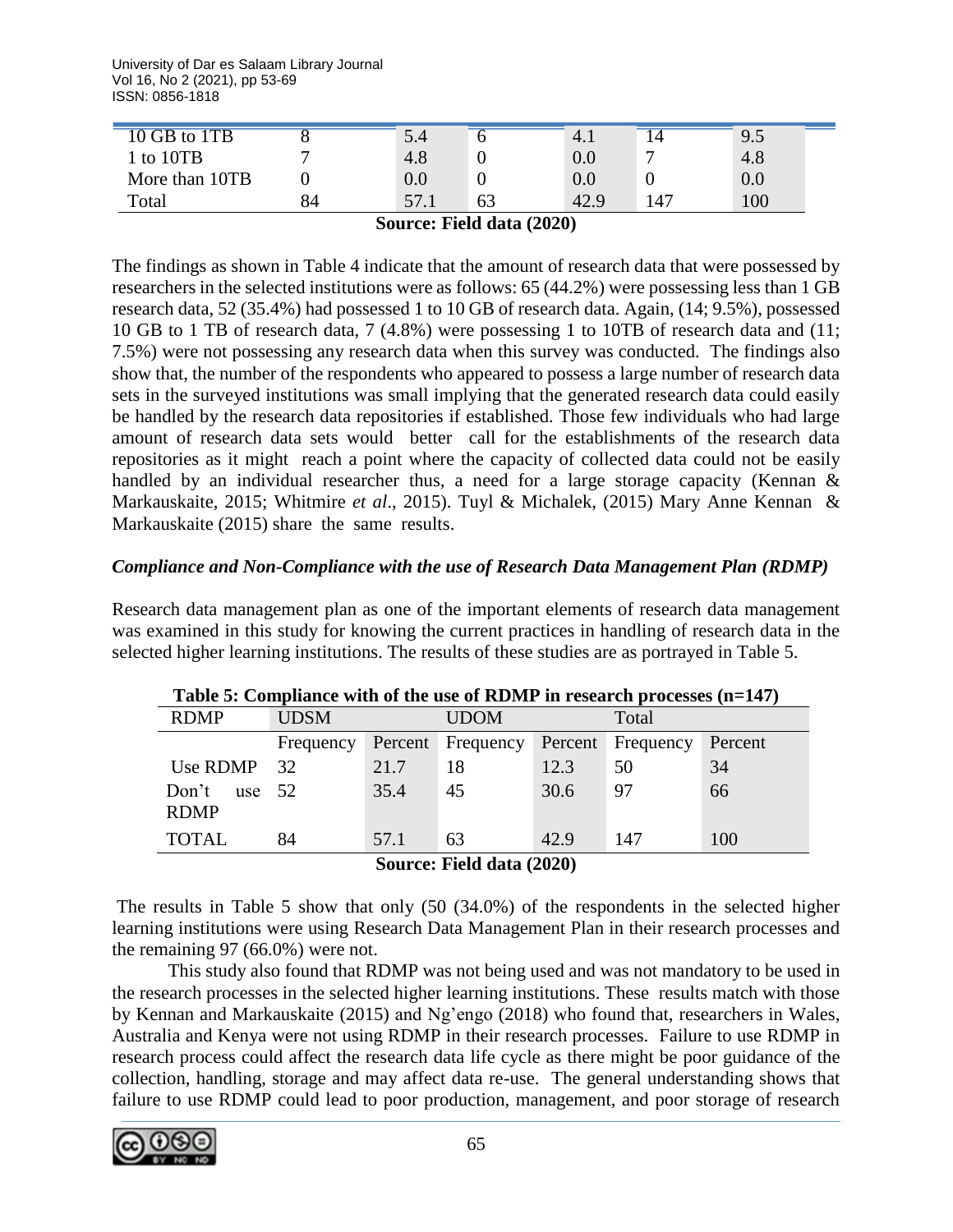University of Dar es Salaam Library Journal Vol 16, No 2 (2021), pp 53-69 ISSN: 0856-1818

| 10 GB to 1TB   |    | 5.4  | O  | 4.1     | ⊥⊣  | 9.5 |
|----------------|----|------|----|---------|-----|-----|
| l to 10TB      |    | 4.8  | 0  | $0.0\,$ | −   | 4.8 |
| More than 10TB |    | 0.0  | 0  | $0.0\,$ |     | 0.0 |
| Total          | 84 | 57.1 | 63 | 42.9    | 147 | 100 |

#### **Source: Field data (2020)**

The findings as shown in Table 4 indicate that the amount of research data that were possessed by researchers in the selected institutions were as follows: 65 (44.2%) were possessing less than 1 GB research data, 52 (35.4%) had possessed 1 to 10 GB of research data. Again, (14; 9.5%), possessed 10 GB to 1 TB of research data, 7 (4.8%) were possessing 1 to 10TB of research data and (11; 7.5%) were not possessing any research data when this survey was conducted. The findings also show that, the number of the respondents who appeared to possess a large number of research data sets in the surveyed institutions was small implying that the generated research data could easily be handled by the research data repositories if established. Those few individuals who had large amount of research data sets would better call for the establishments of the research data repositories as it might reach a point where the capacity of collected data could not be easily handled by an individual researcher thus, a need for a large storage capacity (Kennan & Markauskaite, 2015; Whitmire *et al*., 2015). Tuyl & Michalek, (2015) Mary Anne Kennan & Markauskaite (2015) share the same results.

#### *Compliance and Non-Compliance with the use of Research Data Management Plan (RDMP)*

Research data management plan as one of the important elements of research data management was examined in this study for knowing the current practices in handling of research data in the selected higher learning institutions. The results of these studies are as portrayed in Table 5.

| <b>RDMP</b>                      | <b>UDSM</b>                   |      | <b>UDOM</b>                         |      | Total |         |  |  |  |
|----------------------------------|-------------------------------|------|-------------------------------------|------|-------|---------|--|--|--|
|                                  | Frequency                     |      | Percent Frequency Percent Frequency |      |       | Percent |  |  |  |
| Use RDMP 32                      |                               | 21.7 | 18                                  | 12.3 | 50    | 34      |  |  |  |
| Don't<br>use $52$<br><b>RDMP</b> |                               | 35.4 | 45                                  | 30.6 | 97    | 66      |  |  |  |
| <b>TOTAL</b>                     | 84                            | 57.1 | 63                                  | 42.9 | 147   | 100     |  |  |  |
|                                  | $\sim$<br>(200)<br><b>.</b> . |      |                                     |      |       |         |  |  |  |

|  | Table 5: Compliance with of the use of RDMP in research processes $(n=147)$ |  |  |  |  |  |
|--|-----------------------------------------------------------------------------|--|--|--|--|--|
|--|-----------------------------------------------------------------------------|--|--|--|--|--|

**Source: Field data (2020)**

The results in Table 5 show that only (50 (34.0%) of the respondents in the selected higher learning institutions were using Research Data Management Plan in their research processes and the remaining 97 (66.0%) were not.

This study also found that RDMP was not being used and was not mandatory to be used in the research processes in the selected higher learning institutions. These results match with those by Kennan and Markauskaite (2015) and Ng'engo (2018) who found that, researchers in Wales, Australia and Kenya were not using RDMP in their research processes. Failure to use RDMP in research process could affect the research data life cycle as there might be poor guidance of the collection, handling, storage and may affect data re-use. The general understanding shows that failure to use RDMP could lead to poor production, management, and poor storage of research

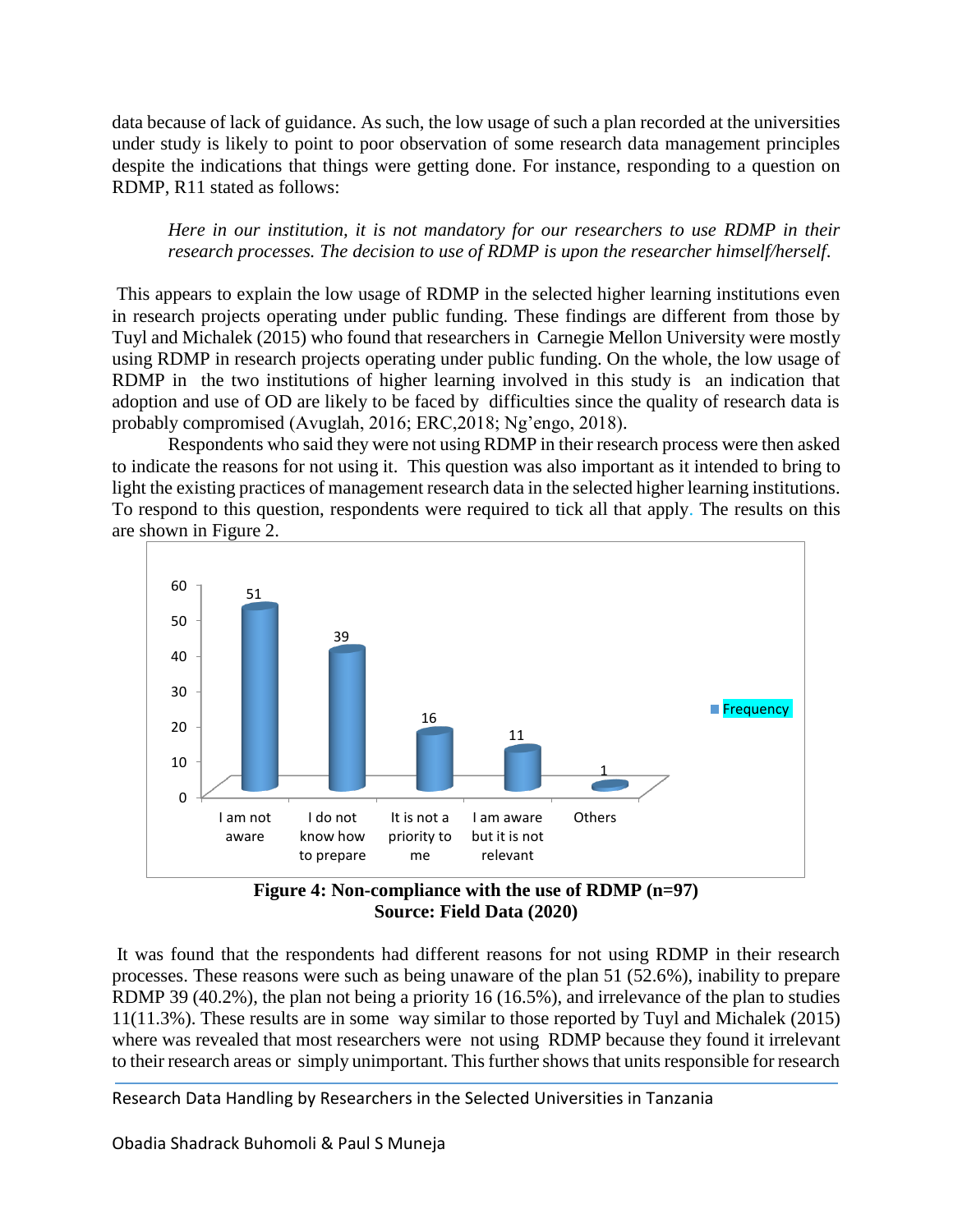data because of lack of guidance. As such, the low usage of such a plan recorded at the universities under study is likely to point to poor observation of some research data management principles despite the indications that things were getting done. For instance, responding to a question on RDMP, R11 stated as follows:

*Here in our institution, it is not mandatory for our researchers to use RDMP in their research processes. The decision to use of RDMP is upon the researcher himself/herself*.

This appears to explain the low usage of RDMP in the selected higher learning institutions even in research projects operating under public funding. These findings are different from those by Tuyl and Michalek (2015) who found that researchers in Carnegie Mellon University were mostly using RDMP in research projects operating under public funding. On the whole, the low usage of RDMP in the two institutions of higher learning involved in this study is an indication that adoption and use of OD are likely to be faced by difficulties since the quality of research data is probably compromised (Avuglah, 2016; ERC,2018; Ng'engo, 2018).

Respondents who said they were not using RDMP in their research process were then asked to indicate the reasons for not using it. This question was also important as it intended to bring to light the existing practices of management research data in the selected higher learning institutions. To respond to this question, respondents were required to tick all that apply. The results on this are shown in Figure 2.



**Figure 4: Non-compliance with the use of RDMP (n=97) Source: Field Data (2020)**

It was found that the respondents had different reasons for not using RDMP in their research processes. These reasons were such as being unaware of the plan 51 (52.6%), inability to prepare RDMP 39 (40.2%), the plan not being a priority 16 (16.5%), and irrelevance of the plan to studies 11(11.3%). These results are in some way similar to those reported by Tuyl and Michalek (2015) where was revealed that most researchers were not using RDMP because they found it irrelevant to their research areas or simply unimportant. This further shows that units responsible for research

Research Data Handling by Researchers in the Selected Universities in Tanzania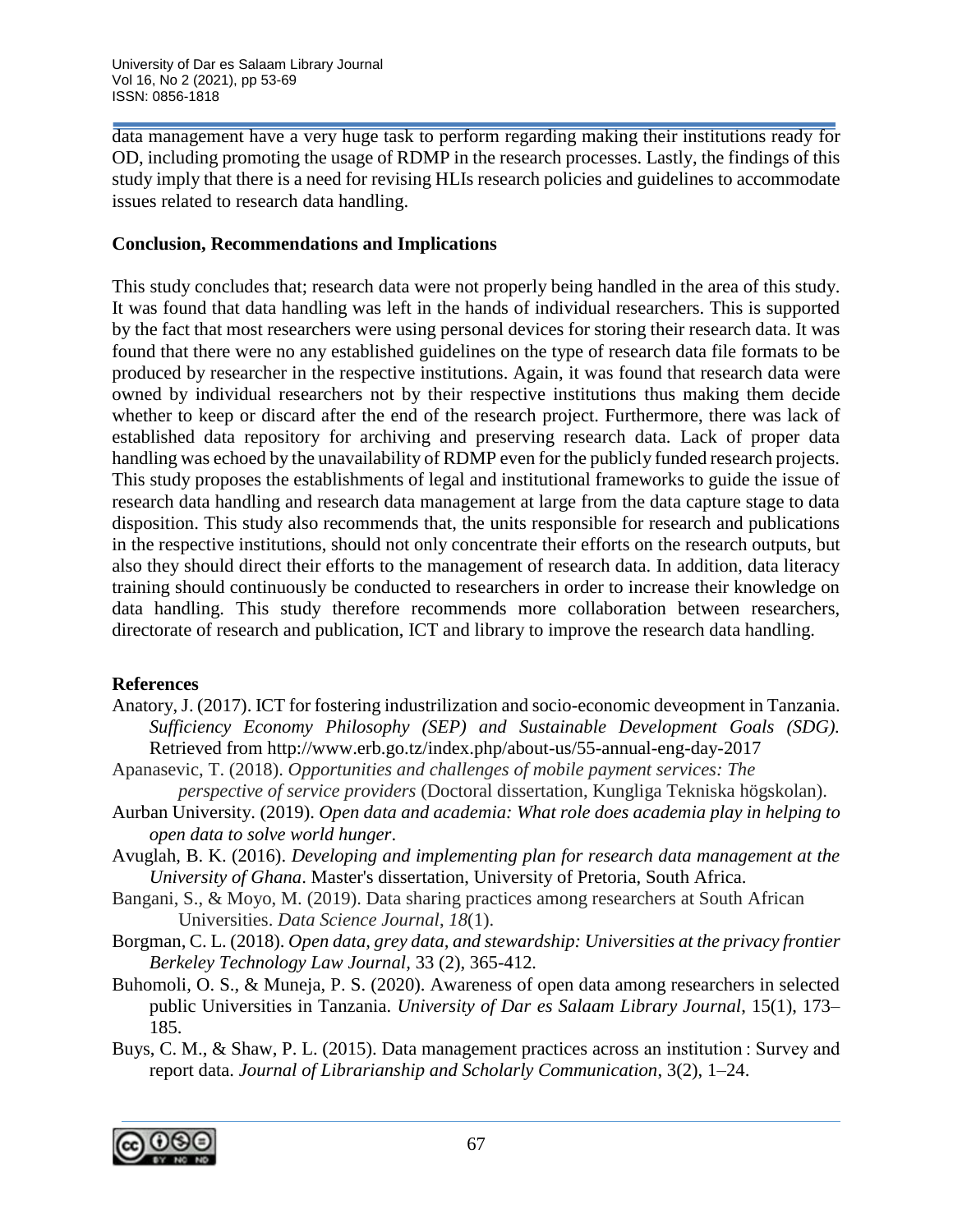data management have a very huge task to perform regarding making their institutions ready for OD, including promoting the usage of RDMP in the research processes. Lastly, the findings of this study imply that there is a need for revising HLIs research policies and guidelines to accommodate issues related to research data handling.

### **Conclusion, Recommendations and Implications**

This study concludes that; research data were not properly being handled in the area of this study. It was found that data handling was left in the hands of individual researchers. This is supported by the fact that most researchers were using personal devices for storing their research data. It was found that there were no any established guidelines on the type of research data file formats to be produced by researcher in the respective institutions. Again, it was found that research data were owned by individual researchers not by their respective institutions thus making them decide whether to keep or discard after the end of the research project. Furthermore, there was lack of established data repository for archiving and preserving research data. Lack of proper data handling was echoed by the unavailability of RDMP even for the publicly funded research projects. This study proposes the establishments of legal and institutional frameworks to guide the issue of research data handling and research data management at large from the data capture stage to data disposition. This study also recommends that, the units responsible for research and publications in the respective institutions, should not only concentrate their efforts on the research outputs, but also they should direct their efforts to the management of research data. In addition, data literacy training should continuously be conducted to researchers in order to increase their knowledge on data handling. This study therefore recommends more collaboration between researchers, directorate of research and publication, ICT and library to improve the research data handling.

### **References**

- Anatory, J. (2017). ICT for fostering industrilization and socio-economic deveopment in Tanzania. *Sufficiency Economy Philosophy (SEP) and Sustainable Development Goals (SDG).* Retrieved from http://www.erb.go.tz/index.php/about-us/55-annual-eng-day-2017
- Apanasevic, T. (2018). *Opportunities and challenges of mobile payment services: The perspective of service providers* (Doctoral dissertation, Kungliga Tekniska högskolan).
- Aurban University. (2019). *Open data and academia: What role does academia play in helping to open data to solve world hunger*.
- Avuglah, B. K. (2016). *Developing and implementing plan for research data management at the University of Ghana*. Master's dissertation, University of Pretoria, South Africa.
- Bangani, S., & Moyo, M. (2019). Data sharing practices among researchers at South African Universities. *Data Science Journal*, *18*(1).
- Borgman, C. L. (2018). *Open data, grey data, and stewardship: Universities at the privacy frontier Berkeley Technology Law Journal,* 33 (2), 365-412*.*
- Buhomoli, O. S., & Muneja, P. S. (2020). Awareness of open data among researchers in selected public Universities in Tanzania. *University of Dar es Salaam Library Journal*, 15(1), 173– 185.
- Buys, C. M., & Shaw, P. L. (2015). Data management practices across an institution : Survey and report data. *Journal of Librarianship and Scholarly Communication*, 3(2), 1–24.

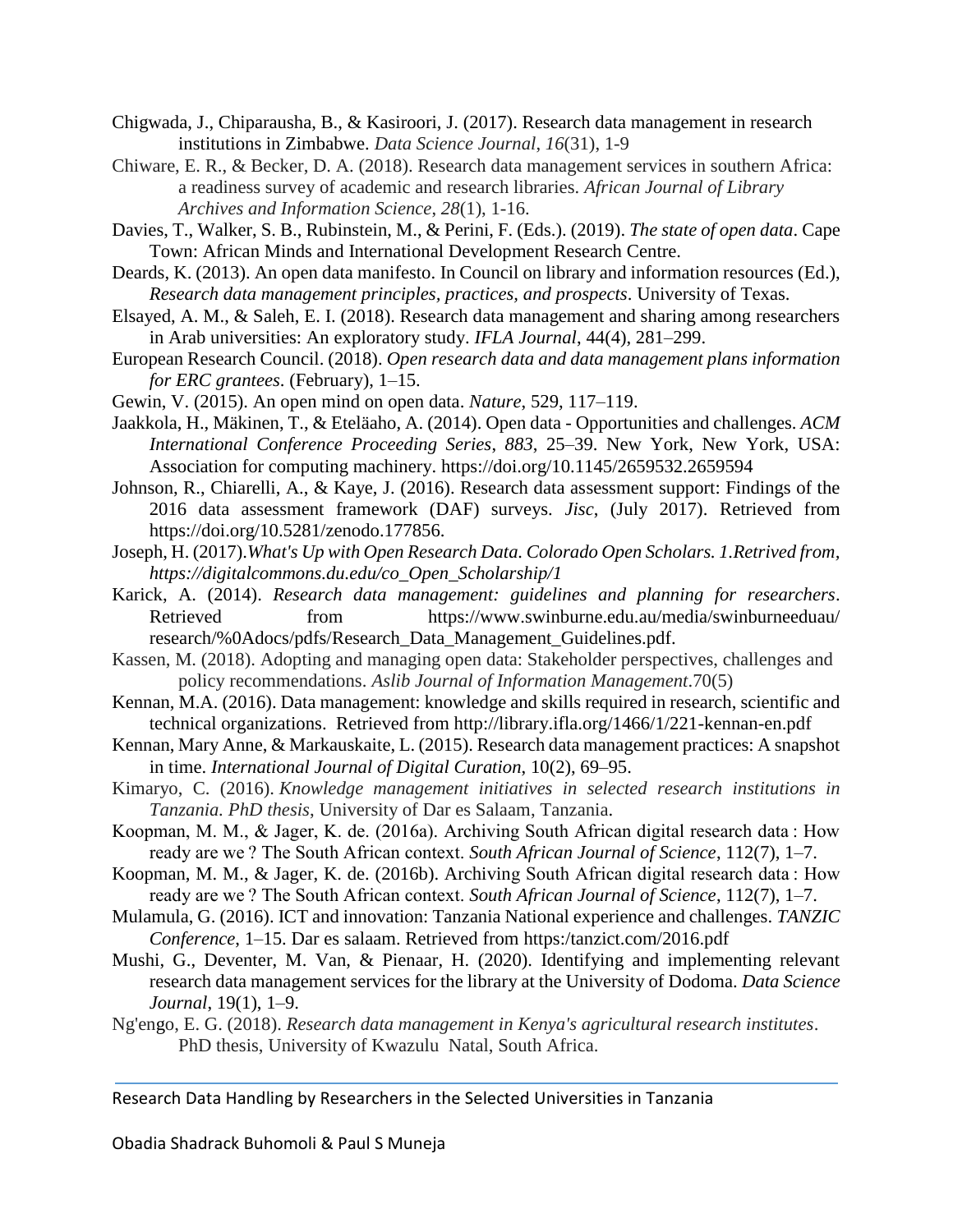- Chigwada, J., Chiparausha, B., & Kasiroori, J. (2017). Research data management in research institutions in Zimbabwe. *Data Science Journal*, *16*(31), 1-9
- Chiware, E. R., & Becker, D. A. (2018). Research data management services in southern Africa: a readiness survey of academic and research libraries. *African Journal of Library Archives and Information Science*, *28*(1), 1-16.
- Davies, T., Walker, S. B., Rubinstein, M., & Perini, F. (Eds.). (2019). *The state of open data*. Cape Town: African Minds and International Development Research Centre.
- Deards, K. (2013). An open data manifesto. In Council on library and information resources (Ed.), *Research data management principles, practices, and prospects*. University of Texas.
- Elsayed, A. M., & Saleh, E. I. (2018). Research data management and sharing among researchers in Arab universities: An exploratory study. *IFLA Journal*, 44(4), 281–299.
- European Research Council. (2018). *Open research data and data management plans information for ERC grantees*. (February), 1–15.
- Gewin, V. (2015). An open mind on open data. *Nature*, 529, 117–119.
- Jaakkola, H., Mäkinen, T., & Eteläaho, A. (2014). Open data Opportunities and challenges. *ACM International Conference Proceeding Series*, *883*, 25–39. New York, New York, USA: Association for computing machinery. https://doi.org/10.1145/2659532.2659594
- Johnson, R., Chiarelli, A., & Kaye, J. (2016). Research data assessment support: Findings of the 2016 data assessment framework (DAF) surveys. *Jisc*, (July 2017). Retrieved from https://doi.org/10.5281/zenodo.177856.
- Joseph, H. (2017).*What's Up with Open Research Data. Colorado Open Scholars. 1.Retrived from, https://digitalcommons.du.edu/co\_Open\_Scholarship/1*
- Karick, A. (2014). *Research data management: guidelines and planning for researchers*. Retrieved from https://www.swinburne.edu.au/media/swinburneeduau/ research/%0Adocs/pdfs/Research\_Data\_Management\_Guidelines.pdf.
- Kassen, M. (2018). Adopting and managing open data: Stakeholder perspectives, challenges and policy recommendations. *Aslib Journal of Information Management*.70(5)
- Kennan, M.A. (2016). Data management: knowledge and skills required in research, scientific and technical organizations. Retrieved from http://library.ifla.org/1466/1/221-kennan-en.pdf
- Kennan, Mary Anne, & Markauskaite, L. (2015). Research data management practices: A snapshot in time. *International Journal of Digital Curation*, 10(2), 69–95.
- Kimaryo, C. (2016). *Knowledge management initiatives in selected research institutions in Tanzania. PhD thesis*, University of Dar es Salaam, Tanzania.
- Koopman, M. M., & Jager, K. de. (2016a). Archiving South African digital research data : How ready are we ? The South African context. *South African Journal of Science*, 112(7), 1–7.
- Koopman, M. M., & Jager, K. de. (2016b). Archiving South African digital research data : How ready are we ? The South African context. *South African Journal of Science*, 112(7), 1–7.
- Mulamula, G. (2016). ICT and innovation: Tanzania National experience and challenges. *TANZIC Conference*, 1–15. Dar es salaam. Retrieved from https:/tanzict.com/2016.pdf
- Mushi, G., Deventer, M. Van, & Pienaar, H. (2020). Identifying and implementing relevant research data management services for the library at the University of Dodoma. *Data Science Journal*, 19(1), 1–9.
- Ng'engo, E. G. (2018). *Research data management in Kenya's agricultural research institutes*. PhD thesis, University of Kwazulu Natal, South Africa.

Research Data Handling by Researchers in the Selected Universities in Tanzania